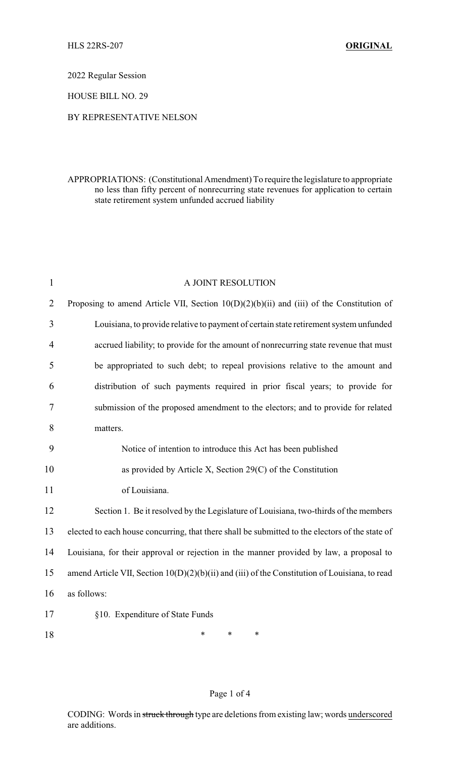2022 Regular Session

HOUSE BILL NO. 29

## BY REPRESENTATIVE NELSON

## APPROPRIATIONS: (Constitutional Amendment) To require the legislature to appropriate no less than fifty percent of nonrecurring state revenues for application to certain state retirement system unfunded accrued liability

| $\mathbf{1}$   | A JOINT RESOLUTION                                                                               |  |
|----------------|--------------------------------------------------------------------------------------------------|--|
| $\overline{2}$ | Proposing to amend Article VII, Section $10(D)(2)(b)(ii)$ and (iii) of the Constitution of       |  |
| 3              | Louisiana, to provide relative to payment of certain state retirement system unfunded            |  |
| 4              | accrued liability; to provide for the amount of nonrecurring state revenue that must             |  |
| 5              | be appropriated to such debt; to repeal provisions relative to the amount and                    |  |
| 6              | distribution of such payments required in prior fiscal years; to provide for                     |  |
| $\overline{7}$ | submission of the proposed amendment to the electors; and to provide for related                 |  |
| 8              | matters.                                                                                         |  |
| 9              | Notice of intention to introduce this Act has been published                                     |  |
| 10             | as provided by Article X, Section $29(C)$ of the Constitution                                    |  |
| 11             | of Louisiana.                                                                                    |  |
| 12             | Section 1. Be it resolved by the Legislature of Louisiana, two-thirds of the members             |  |
| 13             | elected to each house concurring, that there shall be submitted to the electors of the state of  |  |
| 14             | Louisiana, for their approval or rejection in the manner provided by law, a proposal to          |  |
| 15             | amend Article VII, Section $10(D)(2)(b)(ii)$ and (iii) of the Constitution of Louisiana, to read |  |
| 16             | as follows:                                                                                      |  |
| 17             | §10. Expenditure of State Funds                                                                  |  |
| 18             | $\ast$<br>$\ast$<br>$\ast$                                                                       |  |

## Page 1 of 4

CODING: Words in struck through type are deletions from existing law; words underscored are additions.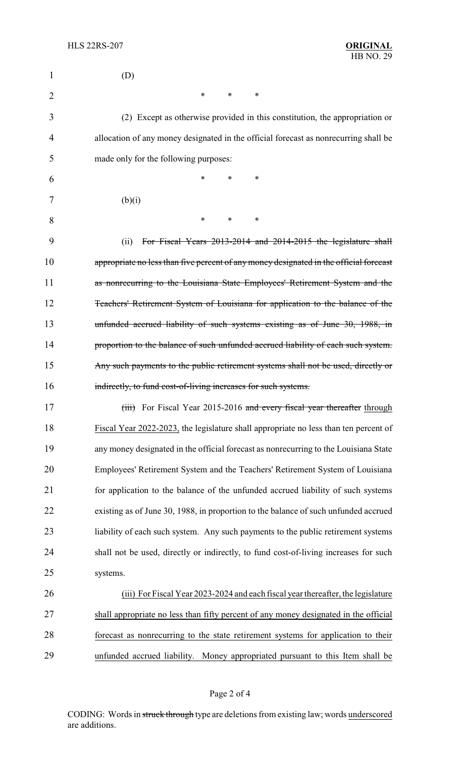| 1              | (D)                                                                                    |  |  |
|----------------|----------------------------------------------------------------------------------------|--|--|
| $\overline{2}$ | $\ast$<br>∗<br>$\ast$                                                                  |  |  |
| 3              | (2) Except as otherwise provided in this constitution, the appropriation or            |  |  |
| 4              | allocation of any money designated in the official forecast as nonrecurring shall be   |  |  |
| 5              | made only for the following purposes:                                                  |  |  |
| 6              | *<br>$\ast$<br>∗                                                                       |  |  |
| 7              | (b)(i)                                                                                 |  |  |
| 8              | $\ast$<br>$\ast$<br>∗                                                                  |  |  |
| 9              | For Fiscal Years 2013-2014 and 2014-2015 the legislature shall<br>(ii)                 |  |  |
| 10             | appropriate no less than five percent of any money designated in the official forecast |  |  |
| 11             | as nonrecurring to the Louisiana State Employees' Retirement System and the            |  |  |
| 12             | Teachers' Retirement System of Louisiana for application to the balance of the         |  |  |
| 13             | unfunded accrued liability of such systems existing as of June 30, 1988, in            |  |  |
| 14             | proportion to the balance of such unfunded accrued liability of each such system.      |  |  |
| 15             | Any such payments to the public retirement systems shall not be used, directly or      |  |  |
| 16             | indirectly, to fund cost-of-living increases for such systems.                         |  |  |
| 17             | (iii) For Fiscal Year 2015-2016 and every fiscal year thereafter through               |  |  |
| 18             | Fiscal Year 2022-2023, the legislature shall appropriate no less than ten percent of   |  |  |
| 19             | any money designated in the official forecast as nonrecurring to the Louisiana State   |  |  |
| 20             | Employees' Retirement System and the Teachers' Retirement System of Louisiana          |  |  |
| 21             | for application to the balance of the unfunded accrued liability of such systems       |  |  |
| 22             | existing as of June 30, 1988, in proportion to the balance of such unfunded accrued    |  |  |
| 23             | liability of each such system. Any such payments to the public retirement systems      |  |  |
| 24             | shall not be used, directly or indirectly, to fund cost-of-living increases for such   |  |  |
| 25             | systems.                                                                               |  |  |
| 26             | (iii) For Fiscal Year 2023-2024 and each fiscal year thereafter, the legislature       |  |  |
| 27             | shall appropriate no less than fifty percent of any money designated in the official   |  |  |
| 28             | forecast as nonrecurring to the state retirement systems for application to their      |  |  |
| 29             | unfunded accrued liability. Money appropriated pursuant to this Item shall be          |  |  |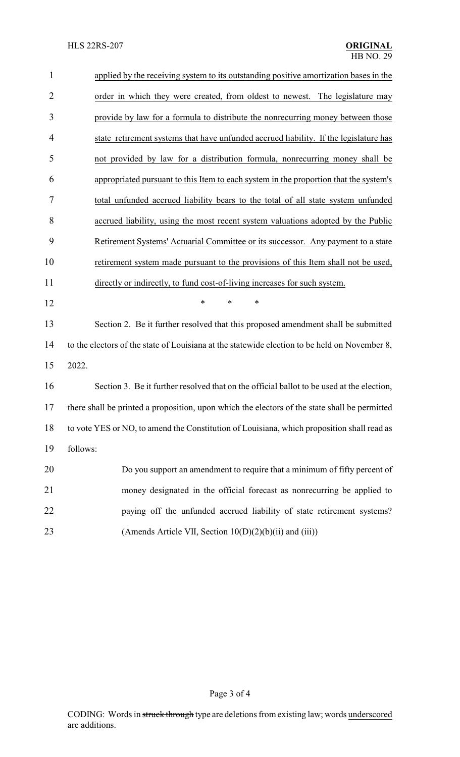| $\mathbf{1}$   | applied by the receiving system to its outstanding positive amortization bases in the         |  |  |
|----------------|-----------------------------------------------------------------------------------------------|--|--|
| $\overline{2}$ | order in which they were created, from oldest to newest. The legislature may                  |  |  |
| 3              | provide by law for a formula to distribute the nonrecurring money between those               |  |  |
| 4              | state retirement systems that have unfunded accrued liability. If the legislature has         |  |  |
| 5              | not provided by law for a distribution formula, nonrecurring money shall be                   |  |  |
| 6              | appropriated pursuant to this Item to each system in the proportion that the system's         |  |  |
| 7              | total unfunded accrued liability bears to the total of all state system unfunded              |  |  |
| 8              | accrued liability, using the most recent system valuations adopted by the Public              |  |  |
| 9              | Retirement Systems' Actuarial Committee or its successor. Any payment to a state              |  |  |
| 10             | retirement system made pursuant to the provisions of this Item shall not be used,             |  |  |
| 11             | directly or indirectly, to fund cost-of-living increases for such system.                     |  |  |
| 12             | $\ast$<br>*<br>$\ast$                                                                         |  |  |
| 13             | Section 2. Be it further resolved that this proposed amendment shall be submitted             |  |  |
| 14             | to the electors of the state of Louisiana at the statewide election to be held on November 8, |  |  |
| 15             | 2022.                                                                                         |  |  |
| 16             | Section 3. Be it further resolved that on the official ballot to be used at the election,     |  |  |
| 17             | there shall be printed a proposition, upon which the electors of the state shall be permitted |  |  |
| 18             | to vote YES or NO, to amend the Constitution of Louisiana, which proposition shall read as    |  |  |
| 19             | follows:                                                                                      |  |  |
| 20             | Do you support an amendment to require that a minimum of fifty percent of                     |  |  |
| 21             | money designated in the official forecast as nonrecurring be applied to                       |  |  |
| 22             | paying off the unfunded accrued liability of state retirement systems?                        |  |  |
| 23             | (Amends Article VII, Section 10(D)(2)(b)(ii) and (iii))                                       |  |  |